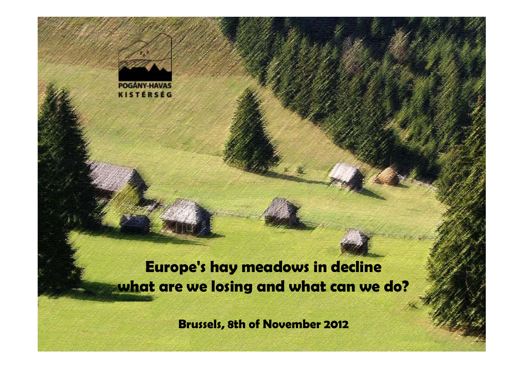

**Europe's hay meadows in declinewhat are we losing and what can we do?**

**Brussels, 8th of November 2012**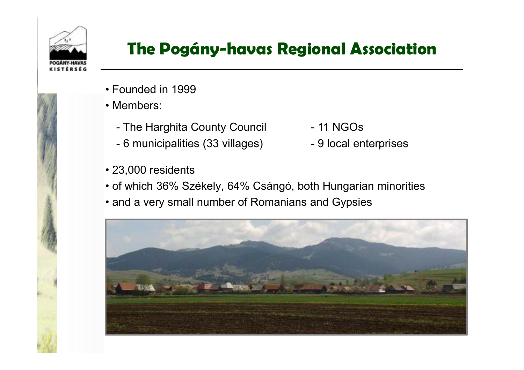

## **The Pogány-havas Regional Association**

- Founded in 1999
- Members:
	- The Harghita County Council
	- 6 municipalities (33 villages)
- 23,000 residents
- <sup>11</sup> NGOs
- 9 local enterprises
- of which 36% Székely, 64% Csángó, both Hungarian minorities
- and a very small number of Romanians and Gypsies

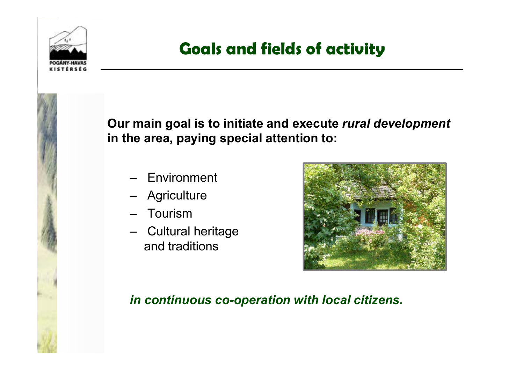

## **Goals and fields of activity**



**Our main goal is to initiate and execute** *rural development***in the area, paying special attention to:**

- **Environment**
- –**Agriculture**
- –Tourism
- Cultural heritage and traditions



#### *in continuous co-operation with local citizens.*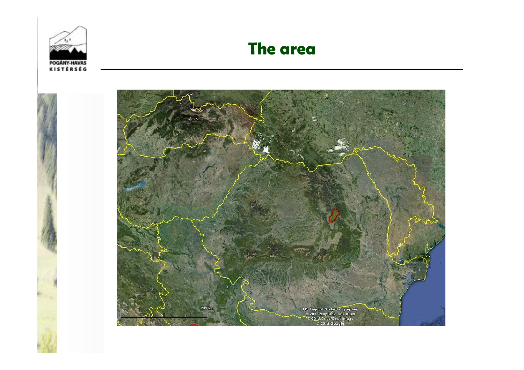

#### **The area**

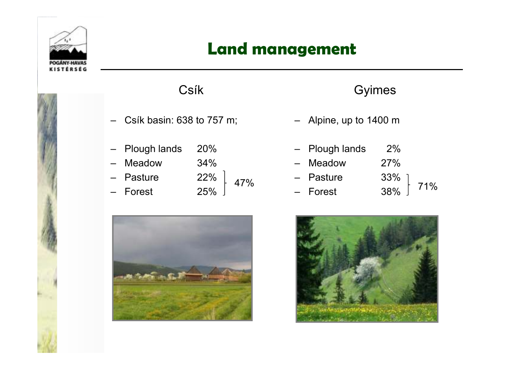

#### **Land management**



#### Csík

- Csík basin: 638 to 757 m;
- Plough lands 20%
- Meadow
- Pasture
- Forest 25%
- 34% 22% 25% 47%



#### Gyimes

- Alpine, up to 1400 m
- Plough lands 2%
- 27% Meadow
- 33% – Pasture 33%
- 38% – Forest 38% $\frac{38}{10}$  - Forest 38%  $\left[\begin{array}{cc} 71\% \\ 1 \end{array}\right]$

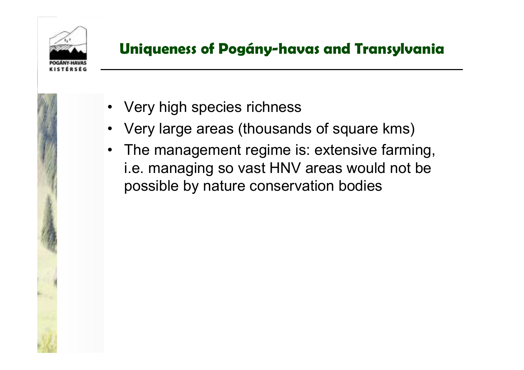

#### **Uniqueness of Pogány-havas and Transylvania**



- Very high species richness
- •Very large areas (thousands of square kms)
- The management regime is: extensive farming, i.e. managing so vast HNV areas would not be possible by nature conservation bodies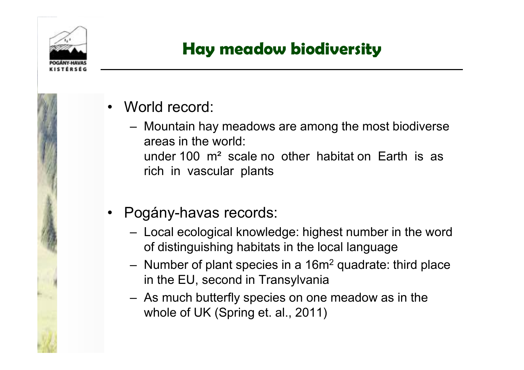

## **Hay meadow biodiversity**

- • World record:
	- –Mountain hay meadows are among the most biodiverse areas in the world: under 100 m² scale no other habitat on Earth is as rich in vascular plants
- $\bullet$  Pogány-havas records:
	- –Local ecological knowledge: highest number in the word of distinguishing habitats in the local language
	- –Number of plant species in a 16m<sup>2</sup> quadrate: third place in the EU, second in Transylvania
	- As much butterfly species on one meadow as in the whole of UK (Spring et. al., 2011)

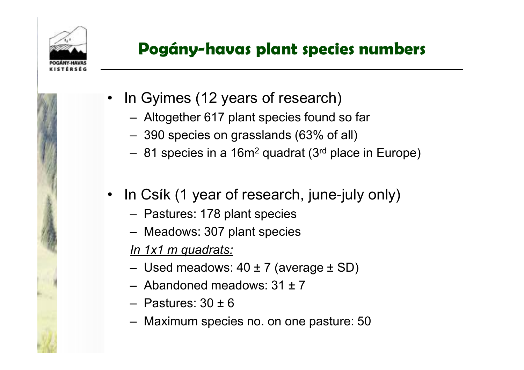

•

## **Pogány-havas plant species numbers**

- In Gyimes (12 years of research)
	- –Altogether 617 plant species found so far
	- –390 species on grasslands (63% of all)
	- 81 species in a 16m<sup>2</sup> quadrat (3<sup>rd</sup> place in Europe)
- • In Csík (1 year of research, june-july only)
	- –Pastures: 178 plant species
	- Meadows: 307 plant species

*In 1x1 m quadrats:*

- –Used meadows: 40 ± 7 (average ± SD)
- Abandoned meadows: 31 ± <sup>7</sup>
- –Pastures:  $30 \pm 6$
- Maximum species no. on one pasture: 50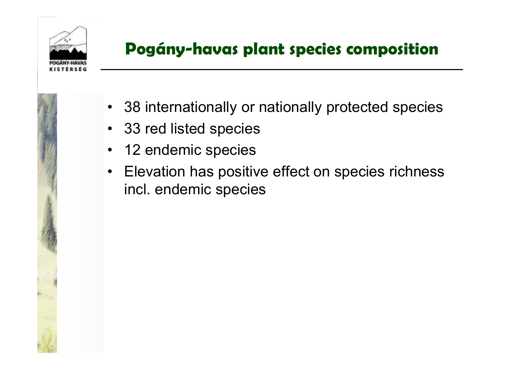

## **Pogány-havas plant species composition**



- 38 internationally or nationally protected species
- 33 red listed species
- $\bullet$ 12 endemic species
- $\bullet$  Elevation has positive effect on species richness incl. endemic species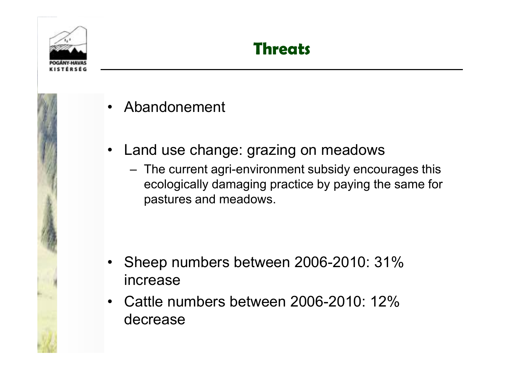





- Abandonement
- $\bullet$  Land use change: grazing on meadows
	- The current agri-environment subsidy encourages this ecologically damaging practice by paying the same for pastures and meadows.

- Sheep numbers between 2006-2010: 31% increase
- • Cattle numbers between 2006-2010: 12% decrease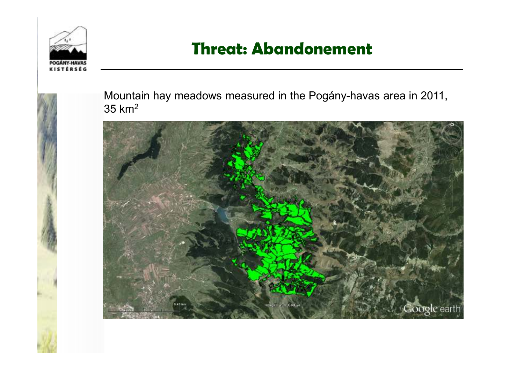

### **Threat: Abandonement**



Mountain hay meadows measured in the Pogány-havas area in 2011,  $35~\mathrm{km^2}$ 

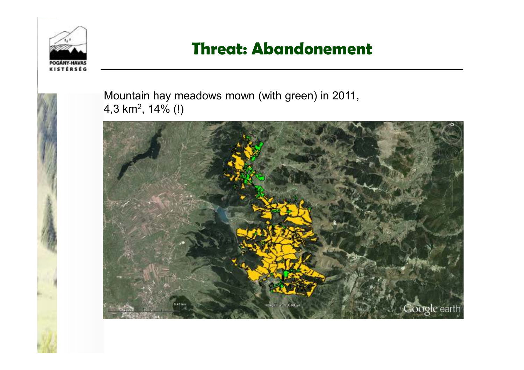

### **Threat: Abandonement**



Mountain hay meadows mown (with green) in 2011, 4,3 km2, 14% (!)

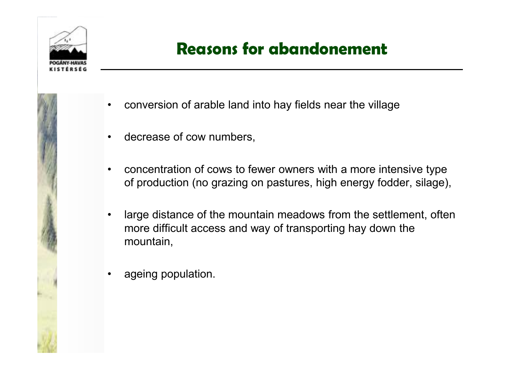



## **Reasons for abandonement**

- •conversion of arable land into hay fields near the village
- $\bullet$ decrease of cow numbers,
- • concentration of cows to fewer owners with a more intensive type of production (no grazing on pastures, high energy fodder, silage),
- $\bullet$  large distance of the mountain meadows from the settlement, often more difficult access and way of transporting hay down the mountain,
- •ageing population.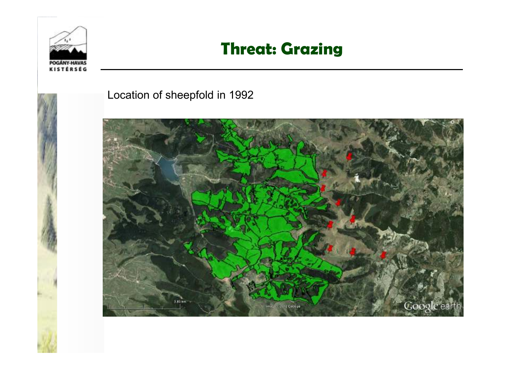

#### **Threat: Grazing**



Location of sheepfold in 1992

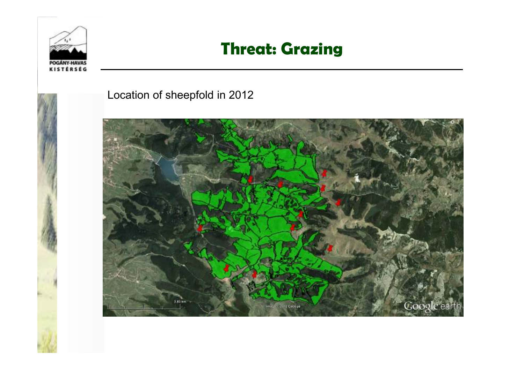

#### **Threat: Grazing**



Location of sheepfold in 2012

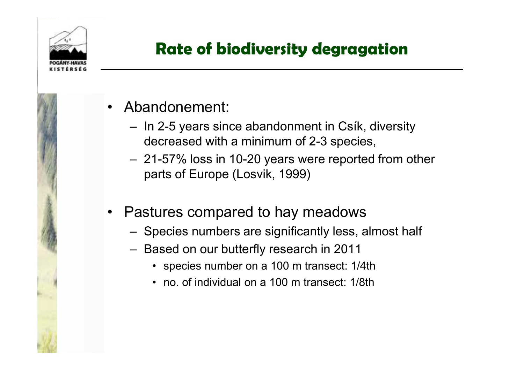

## **Rate of biodiversity degragation**

- Abandonement:
	- –In 2-5 years since abandonment in Csík, diversity decreased with a minimum of 2-3 species,
	- –21-57% loss in 10-20 years were reported from other parts of Europe (Losvik, 1999)
- $\bullet$  Pastures compared to hay meadows
	- Species numbers are significantly less, almost hal f
	- – Based on our butterfly research in 2011
		- species number on a 100 m transect: 1/4th
		- no. of individual on a 100 m transect: 1/8th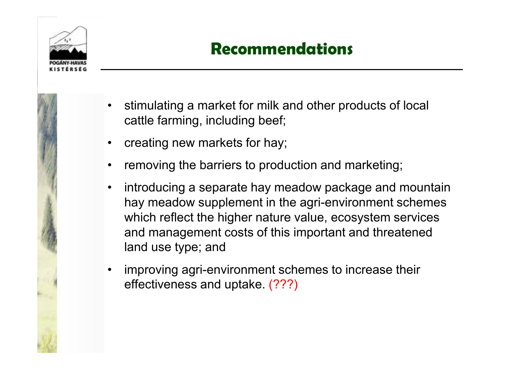

## **Recommendations**

- 
- • stimulating a market for milk and other products of local cattle farming, including beef;
- •creating new markets for hay;
- •removing the barriers to production and marketing;
- • introducing a separate hay meadow package and mountain hay meadow supplement in the agri-environment schemes which reflect the higher nature value, ecosystem services and management costs of this important and threatened land use type; and
- • improving agri-environment schemes to increase their effectiveness and uptake. (???)